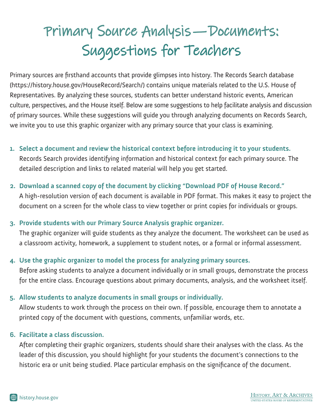# Primary Source Analysis—Documents: Suggestions for Teachers

Primary sources are firsthand accounts that provide glimpses into history. The Records Search database (https://history.house.gov/HouseRecord/Search/) contains unique materials related to the U.S. House of Representatives. By analyzing these sources, students can better understand historic events, American culture, perspectives, and the House itself. Below are some suggestions to help facilitate analysis and discussion of primary sources. While these suggestions will guide you through analyzing documents on Records Search, we invite you to use this graphic organizer with any primary source that your class is examining.

**1. Select a document and review the historical context before introducing it to your students.**  Records Search provides identifying information and historical context for each primary source. The

detailed description and links to related material will help you get started.

## **2. Download a scanned copy of the document by clicking "Download PDF of House Record."**

A high-resolution version of each document is available in PDF format. This makes it easy to project the document on a screen for the whole class to view together or print copies for individuals or groups.

## **3. Provide students with our Primary Source Analysis graphic organizer.**

The graphic organizer will guide students as they analyze the document. The worksheet can be used as a classroom activity, homework, a supplement to student notes, or a formal or informal assessment.

## **4. Use the graphic organizer to model the process for analyzing primary sources.**

Before asking students to analyze a document individually or in small groups, demonstrate the process for the entire class. Encourage questions about primary documents, analysis, and the worksheet itself.

## **5. Allow students to analyze documents in small groups or individually.**

Allow students to work through the process on their own. If possible, encourage them to annotate a printed copy of the document with questions, comments, unfamiliar words, etc.

## **6. Facilitate a class discussion.**

After completing their graphic organizers, students should share their analyses with the class. As the leader of this discussion, you should highlight for your students the document's connections to the historic era or unit being studied. Place particular emphasis on the significance of the document.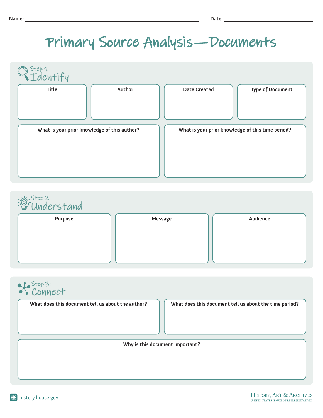# Primary Source Analysis—Documents

| Step 1:                                      |                                                   |                         |
|----------------------------------------------|---------------------------------------------------|-------------------------|
| Title<br>Author                              | <b>Date Created</b>                               | <b>Type of Document</b> |
| What is your prior knowledge of this author? | What is your prior knowledge of this time period? |                         |



# Connect Step 3:

**What does this document tell us about the author?**

**What does this document tell us about the time period?**

**Why is this document important?**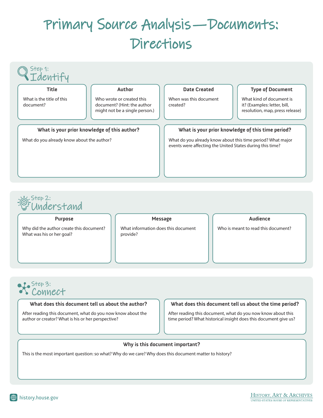# Primary Source Analysis—Documents: Directions



## Understand Step 2:

Why did the author create this document? What was his or her goal?

| r<br>lessag<br>ŋ |  |
|------------------|--|
|------------------|--|

What information does this document provide?

#### **Purpose Message Audience**

Who is meant to read this document?

# Connect Step 3:<br>
COVIN<br>
What doe

#### **What does this document tell us about the author?**

After reading this document, what do you now know about the author or creator? What is his or her perspective?

#### **What does this document tell us about the time period?**

After reading this document, what do you now know about this time period? What historical insight does this document give us?

#### **Why is this document important?**

This is the most important question: so what? Why do we care? Why does this document matter to history?